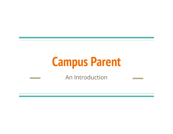# **Campus Parent**

An Introduction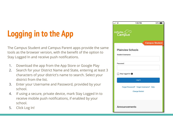## **Logging in to the App**

The Campus Student and Campus Parent apps provide the same tools as the browser version, with the benefit of the option to Stay Logged In and receive push notifications.

- 1. Download the app from the App Store or Google Play
- 2. Search for your District Name and State, entering at least 3 characters of your district's name to search. Select your district from the list.
- 3. Enter your Username and Password, provided by your school.
- 4. If using a secure, private device, mark Stay Logged In to receive mobile push notifications, if enabled by your school.
- 5. Click Log In!

| .ill 오                    | 1:55 PM                                | $93\%$                |
|---------------------------|----------------------------------------|-----------------------|
| <b>Infinite</b><br>Campus |                                        |                       |
|                           |                                        | <b>Campus Student</b> |
|                           | <b>Plainview Schools</b>               |                       |
| <b>Student Username</b>   |                                        |                       |
|                           |                                        |                       |
| Password                  |                                        |                       |
|                           |                                        |                       |
| Stay logged in <b>O</b>   |                                        |                       |
|                           | Log In                                 |                       |
|                           | Forgot Password? Forgot Username? Help |                       |
|                           | <b>Change District</b>                 |                       |
|                           |                                        |                       |
| <b>Announcements</b>      |                                        |                       |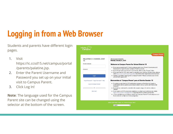### **Logging in from a Web Browser**

Students and parents have different login pages.

1. Visit

https://ic.ccsd15.net/campus/portal /parents/palatine.jsp.

- 2. Enter the Parent Username and Password you set up on your initial visit to Campus Parent.
- 3. Click Log In!

**Note**: The language used for the Campus Parent site can be changed using the selector at the bottom of the screen.

|                                        | <b>Campus Parent</b>                                                                                                                                                                                                                                                                                                                                                                  |
|----------------------------------------|---------------------------------------------------------------------------------------------------------------------------------------------------------------------------------------------------------------------------------------------------------------------------------------------------------------------------------------------------------------------------------------|
| PALATINE C C SCHOOL DIST<br>15         | Announcements<br>Monday January 6, 2020                                                                                                                                                                                                                                                                                                                                               |
| <b>Parent Username</b>                 | <b>Welcome to Campus Parent for School District 15</b>                                                                                                                                                                                                                                                                                                                                |
| Password                               | . If you are an existing D15 family, please enter your Parent Username and<br>Password to log in to your Campus Parent account.<br>. If you forgot your password or username, click on the "Forgot" links.<br>• If you are new to D15, and need to register your child for the first time, please<br>visit https://www.ccsd15.net/Page/9066 and follow the registration instructions. |
| Log In                                 | • Having a problem logging into Campus Parent? Please contact your child's<br>school with questions.                                                                                                                                                                                                                                                                                  |
| Forgot Password? Forgot Username? Help | Bienvenidos al "Campus Parent" para el Distrito Escolar 15                                                                                                                                                                                                                                                                                                                            |
| Log In to Campus Student               | · Si usted es una familia D15 existente, ingrese su Nombre de Usuario y<br>Contraseña de los padres para iniciar sesión en su cuenta de Padres del<br>Campus.                                                                                                                                                                                                                         |
| or                                     | · Si olvidó su contraseña o nombre de usuario, haga clic en los enlaces<br>"Olvidé"                                                                                                                                                                                                                                                                                                   |
| New User?                              | · Si es nuevo en D15 y necesita registrar a su hijo/a por primera vez, visite<br>https://www.ccsd15.net/page/9066 y siga las instrucciones de registro.                                                                                                                                                                                                                               |
|                                        | • ¿Tiene problemas para iniciar sesión en Campus Parent? Comuníquese con<br>la escuela de su hijo/a si tiene preguntas.                                                                                                                                                                                                                                                               |
|                                        |                                                                                                                                                                                                                                                                                                                                                                                       |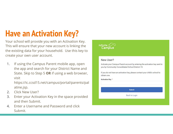### **Have an Activation Key?**

Your school will provide you with an Activation Key. This will ensure that your new account is linking the the existing data for your household. Use this key to create your own user account.

1. If using the Campus Parent mobile app, open the app and search for your District Name and State. Skip to Step 5 **OR** if using a web browser, visit

https://ic.ccsd15.net/campus/portal/parents/pal atine.jsp.

- 2. Click New User?
- 3. Enter your Activation Key in the space provided and then Submit.
- 4. Enter a Username and Password and click Submit.

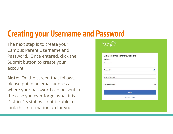### **Creating your Username and Password**

The next step is to create your Campus Parent Username and Password. Once entered, click the Submit button to create your account.

**Note**: On the screen that follows, please put in an email address where your password can be sent in the case you ever forget what it is. District 15 staff will not be able to look this information up for you.

| <b>Create Campus Parent Account</b> |    |
|-------------------------------------|----|
| Welcome                             |    |
| Username <sup>*</sup>               |    |
|                                     |    |
| Password *                          | Ω  |
| Confirm Password *                  |    |
| Password Strength                   | 0% |
|                                     |    |
| <b>Submit</b>                       |    |
| Back to Login                       |    |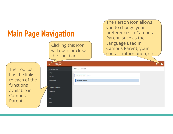| <b>Main Page Navigation</b>                                                                       |                                                                                                                                                                         |                                                                      | The Person icon allows<br>you to change your<br>preferences in Campus<br>Parent, such as the |
|---------------------------------------------------------------------------------------------------|-------------------------------------------------------------------------------------------------------------------------------------------------------------------------|----------------------------------------------------------------------|----------------------------------------------------------------------------------------------|
|                                                                                                   | Clicking this icon<br>will open or close<br>the Tool bar                                                                                                                |                                                                      | Language used in<br><b>Campus Parent, your</b><br>contact information, etc.                  |
| The Tool bar<br>has the links<br>to each of the<br>functions<br>available in<br>Campus<br>Parent. | Infinite<br>Campus<br><b>Message Center</b><br>Today<br>Calendar<br>Assignments<br>Grades<br><b>Grade Book Updates</b><br><b>Attendance</b><br>Schedule<br>Fees<br>More | <b>Message Center</b><br>Announcements<br>Inbox<br>No Announcements. |                                                                                              |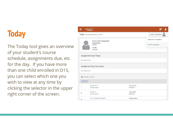### **Today**

The Today tool gives an overview of your student's course schedule, assignments due, etc. for the day. If you have more than one child enrolled in D15, you can select which one you wish to view at any time by clicking the selector in the upper right corner of the screen.

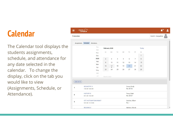#### **Calendar**

The Calendar tool displays the students assignments, schedule, and attendance for any date selected in the calendar. To change the display, click on the tab you would like to view (Assignments, Schedule, or Attendance).

| $Infinite \n\begin{matrix}\n\odot \\ \odot\n\end{matrix}$<br>Ξ |                                            |                |                 |                |    |                                 |                |                  |                          |
|----------------------------------------------------------------|--------------------------------------------|----------------|-----------------|----------------|----|---------------------------------|----------------|------------------|--------------------------|
| Calendar                                                       |                                            |                |                 |                |    |                                 |                |                  | Scott O. Gangadhar       |
| <b>Assignments</b>                                             | Schedule<br>Attendance                     |                |                 |                |    |                                 |                |                  |                          |
|                                                                | Sep<br>Oct                                 |                | February 2020   |                |    |                                 |                | Today            |                          |
|                                                                | Nov                                        | SU             | MO.             | TU             | WE | TH                              | FR.            | SA               |                          |
|                                                                | Dec                                        |                |                 |                |    |                                 |                | $\mathbf{1}$     |                          |
|                                                                | 2020                                       | $\overline{2}$ | 3               | $\overline{4}$ | 5  | 6                               | $\overline{7}$ | $\boldsymbol{8}$ |                          |
|                                                                | Feb                                        | $\overline{9}$ | 10              | 11             | 12 | 13                              | 14             | 15               |                          |
|                                                                | Mar                                        | 16             | 17<br>$\bullet$ | 18             | 19 | 20                              | 21             | 22               |                          |
|                                                                | Apr<br>May                                 | 23             | 24              | 25             | 26 | 27                              | 28             | 29               |                          |
|                                                                | Jun                                        |                |                 |                |    |                                 |                |                  |                          |
|                                                                | Jul                                        | March 2020     |                 |                |    |                                 |                |                  |                          |
| DAY: M-TH                                                      |                                            |                |                 |                |    |                                 |                |                  |                          |
| 1                                                              | <b>GEOMETRY 8</b><br>7:50 AM - 8:38 AM     |                |                 |                |    | Corso, Emily<br>Rm: B116        |                |                  |                          |
| $\overline{\mathbf{2}}$                                        | <b>HISTORY 8</b><br>8:41 AM - 9:24 AM      |                |                 |                |    | Perez, Matt<br>Rm: B107         |                |                  |                          |
| 3                                                              | GTT AUTOMATION/ROBOT<br>9:27 AM - 10:10 AM |                |                 |                |    | Gardner, Albert<br><b>Rm:</b> - |                |                  |                          |
|                                                                | <b>READING 8</b>                           |                |                 |                |    | Mathew, Wendi                   |                |                  | $\overline{\phantom{a}}$ |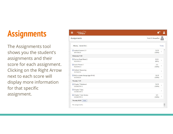### **Assignments**

The Assignments tool shows you the student's assignments and their score for each assignment. Clicking on the Right Arrow next to each score will display more information for that specific assignment.

| Infinite Co<br>Ξ                                    |                                       |
|-----------------------------------------------------|---------------------------------------|
| Assignments                                         | Scott O. Gangadhar                    |
| <b>Current Term</b><br><b>Missing</b>               | Today                                 |
| context Answer L 3<br>WRITING 8                     | A<br>12/12<br>$\mathcal{E}$<br>(100%) |
| Wednesday 11/20                                     |                                       |
| Partner Read Sheet 2<br><b>READING 8</b>            | 8/10<br>$\rightarrow$<br>(80%)        |
| Ouick Phrase 2<br><b>READING 8</b>                  | 2/2<br>$\,>\,$<br>(100%)              |
| Oobleck Reasoning<br><b>SCIENCE 8</b>               | $\mathcal{P}$                         |
| RAQ on state change (pgs 56-63)<br><b>SCIENCE 8</b> | 15/15<br>$\mathcal{P}$<br>(100%)      |
| Thursday 11/21                                      |                                       |
| <b>B</b> Chapter 7 Notebook<br><b>GEOMETRY 8</b>    | 10/10<br>$\geq$<br>(100%)             |
| Chapter 7 Quiz<br><b>GEOMETRY 8</b>                 | $\mathcal{P}$                         |
| Chapter 7 Quiz Review<br><b>GEOMETRY 8</b>          | 5/5<br>$\,$<br>(100%)                 |
| Thursday 02/20 (TODAY                               |                                       |
| No assignments.                                     | $\mathbf{v}$                          |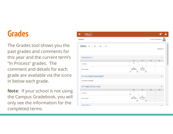#### **Grades**

The Grades tool shows you the past grades and comments for this year and the current term's "In Process" grades. The comment and details for each grade are available via the icons in below each grade.

**Note**: If your school is not using the Campus Gradebook, you will only see the information for the completed terms.

| $Infinite \n\begin{matrix}\n\odot \\ \odot\n\end{matrix}$ |                         |                                       |    |                    |
|-----------------------------------------------------------|-------------------------|---------------------------------------|----|--------------------|
| Grades                                                    |                         |                                       |    | Scott O. Gangadhar |
| Q2<br>Q3<br>Q4<br>All Terms<br>Q1                         |                         |                                       |    | Settings V         |
| <b>GEOMETRY 8</b>                                         |                         |                                       |    |                    |
|                                                           | Q1                      | Q2                                    | Q3 | Q <sub>4</sub>     |
| Conduct                                                   | $\overline{2}$          |                                       |    |                    |
| Term Grade                                                | $A$<br>(98.33%)<br>₿    | $A$<br>(95.9%)<br>In-progress<br>€    |    |                    |
| <b>GTT AUTOMATION/ROBOT</b>                               |                         |                                       |    |                    |
| No grades available.                                      |                         |                                       |    |                    |
| <b>GTT MED DETECTIVES</b>                                 |                         |                                       |    |                    |
|                                                           | Q1                      | Q2                                    | Q3 | Q <sub>4</sub>     |
| Conduct                                                   | $\mathbf{1}$<br>$\circ$ |                                       |    |                    |
| Term Grade                                                | $A$<br>(99.15%)<br>B    | $A+$<br>(100.46%)<br>In-progress<br>B |    |                    |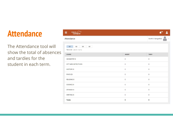#### **Attendance**

The Attendance tool will show the total of absences and tardies for the student in each term.

| Ξ             | Infinite<br>Campus                            |                  | 19+<br>2           |
|---------------|-----------------------------------------------|------------------|--------------------|
|               | Attendance                                    |                  | Scott O. Gangadhar |
|               | Q1<br>Q2<br>Q3<br>Q4<br>Term Q1 (08/14-10/11) |                  |                    |
| <b>COURSE</b> |                                               | <b>ABSENT</b>    | <b>TARDY</b>       |
|               | <b>GEOMETRY 8</b>                             | $\bf 0$          | $\mathbf{0}$       |
|               | <b>GTT MED DETECTIVES</b>                     | $\theta$         | 0                  |
|               | <b>HISTORY 8</b>                              | $\mathbf 0$      | $\mathbf 0$        |
|               | <b>PHYS ED</b>                                | $\boldsymbol{0}$ | $\bf{0}$           |
|               | <b>READING 8</b>                              | $\bf 0$          | $\bf{0}$           |
|               | <b>SCIENCE 8</b>                              | $\theta$         | $\mathbf 0$        |
|               | <b>SPANISH II</b>                             | $\mathbf 0$      | $\overline{0}$     |
|               | <b>WRITING 8</b>                              | $\,0\,$          | $\overline{0}$     |
| <b>Totals</b> |                                               | $\pmb{0}$        | 0                  |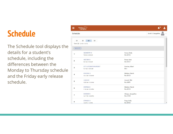### **Schedule**

The Schedule tool displays the details for a student's schedule, including the differences between the Monday to Thursday schedule and the Friday early release schedule.

| Ξ              | Infinite Co                                                                   |                                  |                    |
|----------------|-------------------------------------------------------------------------------|----------------------------------|--------------------|
| Schedule       |                                                                               |                                  | Scott O. Gangadhar |
| Q1             | Q <sub>2</sub><br>Q <sub>3</sub><br>Q <sub>4</sub><br>Term Q3 (01/06 - 03/13) |                                  |                    |
| DAY: M-TH      |                                                                               |                                  |                    |
| 1              | <b>GEOMETRY 8</b><br>7:50 AM - 8:38 AM                                        | Corso, Emily<br>Rm: B116         |                    |
| $\overline{2}$ | <b>HISTORY 8</b><br>8:41 AM - 9:24 AM                                         | Perez, Matt<br>Rm: B107          |                    |
| 3              | <b>GTT AUTOMATION/ROBOT</b><br>9:27 AM - 10:10 AM                             | Gardner, Albert<br>Rm: -         |                    |
| 4              | <b>READING 8</b><br>10:13 AM - 10:56 AM                                       | Mathew, Wendi<br>Rm: B113        |                    |
| 5              | LUNCH <sub>8</sub><br>10:59 AM - 11:41 AM                                     | Crouch, TBA<br>Rm: MPR           |                    |
| 6              | <b>WRITING 8</b><br>11:32 AM - 12:14 PM                                       | Mathew, Wendi<br><b>Rm: B113</b> |                    |
| 7              | <b>SCIENCE 8</b><br>12:17 PM - 12:59 PM                                       | Abrego, Jacqueline<br>Rm: C105   |                    |
| 8              | <b>SPANISH II</b><br>1:02 PM - 1:44 PM                                        | Popp, Holly<br>Rm: B105          |                    |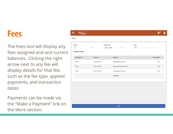#### **Fees**

The Fees tool will display any fees assigned and and current balances. Clicking the right arrow next to any fee will display details for that fee, such as the fee type, applied payments, and transaction dates.

Payments can be made via the "Make a Payment" link on the More section.



Print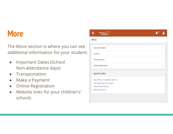#### **More**

The More section is where you can see additional information for your student:

- Important Dates (School Non-attendance days)
- Transportation
- Make a Payment
- **Online Registration**
- Website links for your children's' schools

|      | Infinite <i>C</i>           |               |
|------|-----------------------------|---------------|
| More |                             |               |
|      |                             |               |
|      | <b>Important Dates</b>      | $\mathcal{P}$ |
|      | Lockers                     | $\mathcal{P}$ |
|      | Transportation              | $\mathcal{P}$ |
|      | <b>Online Registration</b>  | $\,>\,$       |
|      | <b>Quick Links</b>          |               |
|      | PALATINE C C SCHOOL DIST 15 |               |
|      | Carl Sandburg Junior High   |               |
|      | Central Road School         |               |
|      | Make a Payment              |               |
|      |                             |               |
|      |                             |               |